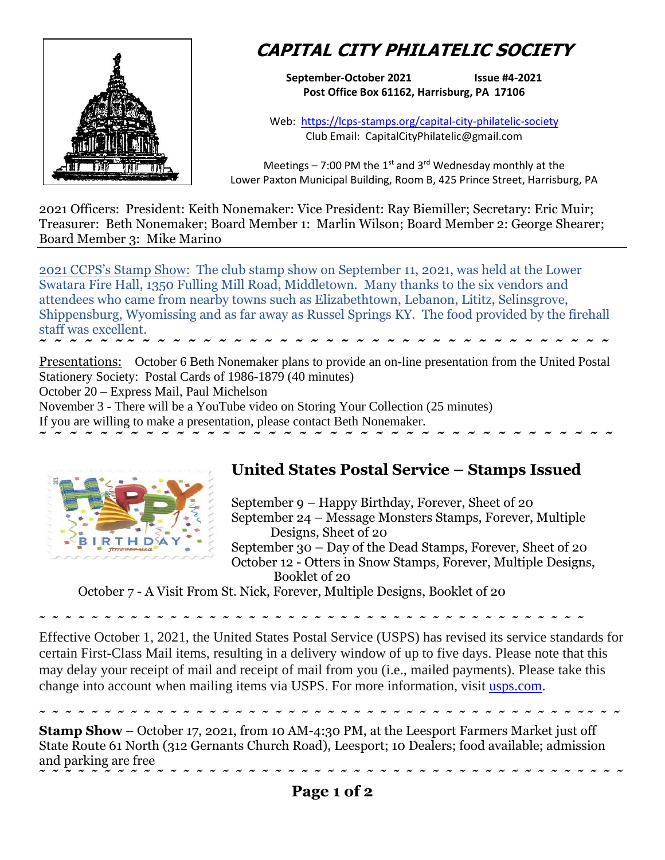

## **CAPITAL CITY PHILATELIC SOCIETY**

**September-October 2021 Issue #4-2021 Post Office Box 61162, Harrisburg, PA 17106**

Web: <https://lcps-stamps.org/capital-city-philatelic-society> Club Email: CapitalCityPhilatelic@gmail.com

Meetings – 7:00 PM the  $1<sup>st</sup>$  and 3<sup>rd</sup> Wednesday monthly at the Lower Paxton Municipal Building, Room B, 425 Prince Street, Harrisburg, PA

2021 Officers: President: Keith Nonemaker: Vice President: Ray Biemiller; Secretary: Eric Muir; Treasurer: Beth Nonemaker; Board Member 1: Marlin Wilson; Board Member 2: George Shearer; Board Member 3: Mike Marino

2021 CCPS's Stamp Show: The club stamp show on September 11, 2021, was held at the Lower Swatara Fire Hall, 1350 Fulling Mill Road, Middletown. Many thanks to the six vendors and attendees who came from nearby towns such as Elizabethtown, Lebanon, Lititz, Selinsgrove, Shippensburg, Wyomissing and as far away as Russel Springs KY. The food provided by the firehall staff was excellent.

**˜ ˜ ˜ ˜ ˜ ˜ ˜ ˜ ˜ ˜ ˜ ˜ ˜ ˜ ˜ ˜ ˜ ˜ ˜ ˜ ˜ ˜ ˜ ˜ ˜ ˜ ˜ ˜ ˜ ˜ ˜ ˜ ˜ ˜ ˜ ˜ ˜ ˜**  Presentations: October 6 Beth Nonemaker plans to provide an on-line presentation from the United Postal Stationery Society: Postal Cards of 1986-1879 (40 minutes)

**˜ ˜ ˜ ˜ ˜ ˜ ˜ ˜ ˜ ˜ ˜ ˜ ˜ ˜ ˜ ˜ ˜ ˜ ˜ ˜ ˜ ˜ ˜ ˜ ˜ ˜ ˜ ˜ ˜ ˜ ˜ ˜ ˜ ˜ ˜ ˜ ˜ ˜** 

October 20 – Express Mail, Paul Michelson

November 3 - There will be a YouTube video on Storing Your Collection (25 minutes)

If you are willing to make a presentation, please contact Beth Nonemaker.



## **United States Postal Service – Stamps Issued**

September 9 – Happy Birthday, Forever, Sheet of 20 September 24 – Message Monsters Stamps, Forever, Multiple Designs, Sheet of 20 September 30 – Day of the Dead Stamps, Forever, Sheet of 20 October 12 - Otters in Snow Stamps, Forever, Multiple Designs, Booklet of 20

October 7 - A Visit From St. Nick, Forever, Multiple Designs, Booklet of 20

**˜ ˜ ˜ ˜ ˜ ˜ ˜ ˜ ˜ ˜ ˜ ˜ ˜ ˜ ˜ ˜ ˜ ˜ ˜ ˜ ˜ ˜ ˜ ˜ ˜ ˜ ˜ ˜ ˜ ˜ ˜ ˜ ˜ ˜ ˜ ˜ ˜ ˜ ˜ ˜ ˜ ˜** 

Effective October 1, 2021, the United States Postal Service (USPS) has revised its service standards for certain First-Class Mail items, resulting in a delivery window of up to five days. Please note that this may delay your receipt of mail and receipt of mail from you (i.e., mailed payments). Please take this change into account when mailing items via USPS. For more information, visit [usps.com.](https://connect.wellsfargoemail.com/a/hBhSg$WB8IXCZB95lLkNzDkCEXQ/bodylink1)

**˜ ˜ ˜ ˜ ˜ ˜ ˜ ˜ ˜ ˜ ˜ ˜ ˜ ˜ ˜ ˜ ˜ ˜ ˜ ˜ ˜ ˜ ˜ ˜ ˜ ˜ ˜ ˜ ˜ ˜ ˜ ˜ ˜ ˜ ˜ ˜ ˜ ˜ ˜ ˜ ˜ ˜ ˜ ˜ ˜ Stamp Show** – October 17, 2021, from 10 AM-4:30 PM, at the Leesport Farmers Market just off State Route 61 North (312 Gernants Church Road), Leesport; 10 Dealers; food available; admission and parking are free **˜ ˜ ˜ ˜ ˜ ˜ ˜ ˜ ˜ ˜ ˜ ˜ ˜ ˜ ˜ ˜ ˜ ˜ ˜ ˜ ˜ ˜ ˜ ˜ ˜ ˜ ˜ ˜ ˜ ˜ ˜ ˜ ˜ ˜ ˜ ˜ ˜ ˜ ˜ ˜ ˜ ˜ ˜ ˜ ˜**